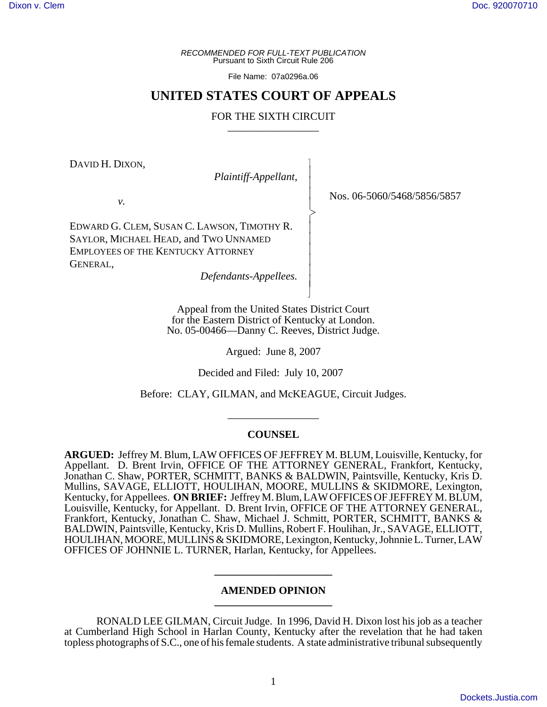*RECOMMENDED FOR FULL-TEXT PUBLICATION* Pursuant to Sixth Circuit Rule 206

File Name: 07a0296a.06

# **UNITED STATES COURT OF APPEALS**

# FOR THE SIXTH CIRCUIT

 $\overline{\phantom{a}}$ - - - -  $\succ$ |<br>|<br>| - - - - - - N

DAVID H. DIXON,

*Plaintiff-Appellant,*

*v.*

EDWARD G. CLEM, SUSAN C. LAWSON, TIMOTHY R. SAYLOR, MICHAEL HEAD, and TWO UNNAMED EMPLOYEES OF THE KENTUCKY ATTORNEY GENERAL,

*Defendants-Appellees.*

Appeal from the United States District Court for the Eastern District of Kentucky at London. No. 05-00466—Danny C. Reeves, District Judge.

Argued: June 8, 2007

Decided and Filed: July 10, 2007

Before: CLAY, GILMAN, and McKEAGUE, Circuit Judges.

\_\_\_\_\_\_\_\_\_\_\_\_\_\_\_\_\_

### **COUNSEL**

**ARGUED:** Jeffrey M. Blum, LAW OFFICES OF JEFFREY M. BLUM, Louisville, Kentucky, for Appellant. D. Brent Irvin, OFFICE OF THE ATTORNEY GENERAL, Frankfort, Kentucky, Jonathan C. Shaw, PORTER, SCHMITT, BANKS & BALDWIN, Paintsville, Kentucky, Kris D. Mullins, SAVAGE, ELLIOTT, HOULIHAN, MOORE, MULLINS & SKIDMORE, Lexington, Kentucky, for Appellees. **ON BRIEF:** Jeffrey M. Blum, LAW OFFICES OF JEFFREY M. BLUM, Louisville, Kentucky, for Appellant. D. Brent Irvin, OFFICE OF THE ATTORNEY GENERAL, Frankfort, Kentucky, Jonathan C. Shaw, Michael J. Schmitt, PORTER, SCHMITT, BANKS & BALDWIN, Paintsville, Kentucky, Kris D. Mullins, Robert F. Houlihan, Jr., SAVAGE, ELLIOTT, HOULIHAN, MOORE, MULLINS & SKIDMORE, Lexington, Kentucky, Johnnie L. Turner, LAW OFFICES OF JOHNNIE L. TURNER, Harlan, Kentucky, for Appellees.

### **AMENDED OPINION \_\_\_\_\_\_\_\_\_\_\_\_\_\_\_\_\_\_\_\_\_\_**

**\_\_\_\_\_\_\_\_\_\_\_\_\_\_\_\_\_\_\_\_\_\_**

RONALD LEE GILMAN, Circuit Judge. In 1996, David H. Dixon lost his job as a teacher at Cumberland High School in Harlan County, Kentucky after the revelation that he had taken topless photographs of S.C., one of his female students. A state administrative tribunal subsequently

Nos. 06-5060/5468/5856/5857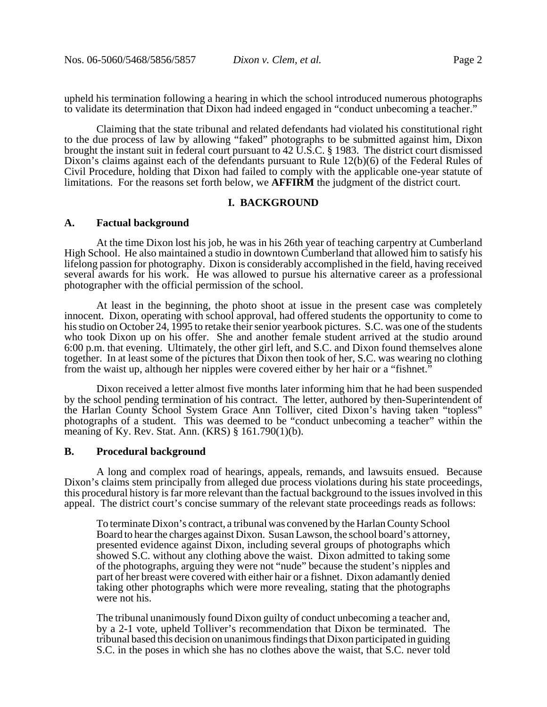upheld his termination following a hearing in which the school introduced numerous photographs to validate its determination that Dixon had indeed engaged in "conduct unbecoming a teacher."

Claiming that the state tribunal and related defendants had violated his constitutional right to the due process of law by allowing "faked" photographs to be submitted against him, Dixon brought the instant suit in federal court pursuant to 42 U.S.C. § 1983. The district court dismissed Dixon's claims against each of the defendants pursuant to Rule 12(b)(6) of the Federal Rules of Civil Procedure, holding that Dixon had failed to comply with the applicable one-year statute of limitations. For the reasons set forth below, we **AFFIRM** the judgment of the district court.

### **I. BACKGROUND**

### **A. Factual background**

At the time Dixon lost his job, he was in his 26th year of teaching carpentry at Cumberland High School. He also maintained a studio in downtown Cumberland that allowed him to satisfy his lifelong passion for photography. Dixon is considerably accomplished in the field, having received several awards for his work. He was allowed to pursue his alternative career as a professional photographer with the official permission of the school.

At least in the beginning, the photo shoot at issue in the present case was completely innocent. Dixon, operating with school approval, had offered students the opportunity to come to his studio on October 24, 1995 to retake their senior yearbook pictures. S.C. was one of the students who took Dixon up on his offer. She and another female student arrived at the studio around 6:00 p.m. that evening. Ultimately, the other girl left, and S.C. and Dixon found themselves alone together. In at least some of the pictures that Dixon then took of her, S.C. was wearing no clothing from the waist up, although her nipples were covered either by her hair or a "fishnet."

Dixon received a letter almost five months later informing him that he had been suspended by the school pending termination of his contract. The letter, authored by then-Superintendent of the Harlan County School System Grace Ann Tolliver, cited Dixon's having taken "topless" photographs of a student. This was deemed to be "conduct unbecoming a teacher" within the meaning of Ky. Rev. Stat. Ann. (KRS) § 161.790(1)(b).

### **B. Procedural background**

A long and complex road of hearings, appeals, remands, and lawsuits ensued. Because Dixon's claims stem principally from alleged due process violations during his state proceedings, this procedural history is far more relevant than the factual background to the issues involved in this appeal. The district court's concise summary of the relevant state proceedings reads as follows:

To terminate Dixon's contract, a tribunal was convened by the Harlan County School Board to hear the charges against Dixon. Susan Lawson, the school board's attorney, presented evidence against Dixon, including several groups of photographs which showed S.C. without any clothing above the waist. Dixon admitted to taking some of the photographs, arguing they were not "nude" because the student's nipples and part of her breast were covered with either hair or a fishnet. Dixon adamantly denied taking other photographs which were more revealing, stating that the photographs were not his.

The tribunal unanimously found Dixon guilty of conduct unbecoming a teacher and, by a 2-1 vote, upheld Tolliver's recommendation that Dixon be terminated. The tribunal based this decision on unanimous findings that Dixon participated in guiding S.C. in the poses in which she has no clothes above the waist, that S.C. never told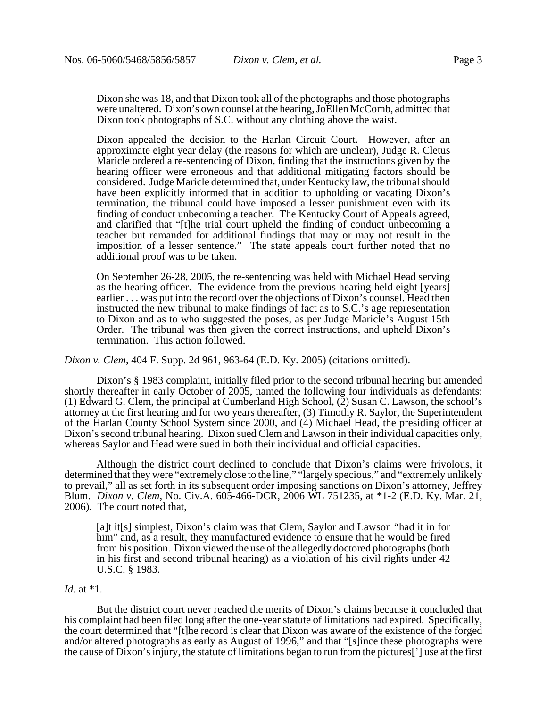Dixon she was 18, and that Dixon took all of the photographs and those photographs were unaltered. Dixon's own counsel at the hearing, JoEllen McComb, admitted that Dixon took photographs of S.C. without any clothing above the waist.

Dixon appealed the decision to the Harlan Circuit Court. However, after an approximate eight year delay (the reasons for which are unclear), Judge R. Cletus Maricle ordered a re-sentencing of Dixon, finding that the instructions given by the hearing officer were erroneous and that additional mitigating factors should be considered. Judge Maricle determined that, under Kentucky law, the tribunal should have been explicitly informed that in addition to upholding or vacating Dixon's termination, the tribunal could have imposed a lesser punishment even with its finding of conduct unbecoming a teacher. The Kentucky Court of Appeals agreed, and clarified that "[t]he trial court upheld the finding of conduct unbecoming a teacher but remanded for additional findings that may or may not result in the imposition of a lesser sentence." The state appeals court further noted that no additional proof was to be taken.

On September 26-28, 2005, the re-sentencing was held with Michael Head serving as the hearing officer. The evidence from the previous hearing held eight [years] earlier . . . was put into the record over the objections of Dixon's counsel. Head then instructed the new tribunal to make findings of fact as to S.C.'s age representation to Dixon and as to who suggested the poses, as per Judge Maricle's August 15th Order. The tribunal was then given the correct instructions, and upheld Dixon's termination. This action followed.

*Dixon v. Clem*, 404 F. Supp. 2d 961, 963-64 (E.D. Ky. 2005) (citations omitted).

Dixon's § 1983 complaint, initially filed prior to the second tribunal hearing but amended shortly thereafter in early October of 2005, named the following four individuals as defendants: (1) Edward G. Clem, the principal at Cumberland High School, (2) Susan C. Lawson, the school's attorney at the first hearing and for two years thereafter, (3) Timothy R. Saylor, the Superintendent of the Harlan County School System since 2000, and (4) Michael Head, the presiding officer at Dixon's second tribunal hearing. Dixon sued Clem and Lawson in their individual capacities only, whereas Saylor and Head were sued in both their individual and official capacities.

Although the district court declined to conclude that Dixon's claims were frivolous, it determined that they were "extremely close to the line," "largely specious," and "extremely unlikely to prevail," all as set forth in its subsequent order imposing sanctions on Dixon's attorney, Jeffrey Blum. *Dixon v. Clem*, No. Civ.A. 605-466-DCR, 2006 WL 751235, at \*1-2 (E.D. Ky. Mar. 21, 2006). The court noted that,

[a]t it[s] simplest, Dixon's claim was that Clem, Saylor and Lawson "had it in for him" and, as a result, they manufactured evidence to ensure that he would be fired from his position. Dixon viewed the use of the allegedly doctored photographs (both in his first and second tribunal hearing) as a violation of his civil rights under 42 U.S.C. § 1983.

*Id.* at \*1.

But the district court never reached the merits of Dixon's claims because it concluded that his complaint had been filed long after the one-year statute of limitations had expired. Specifically, the court determined that "[t]he record is clear that Dixon was aware of the existence of the forged and/or altered photographs as early as August of 1996," and that "[s]ince these photographs were the cause of Dixon's injury, the statute of limitations began to run from the pictures['] use at the first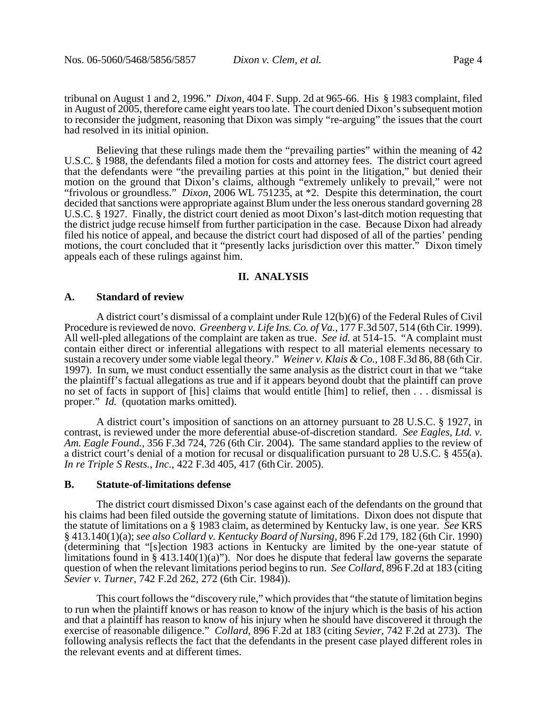tribunal on August 1 and 2, 1996." *Dixon*, 404 F. Supp. 2d at 965-66. His § 1983 complaint, filed in August of 2005, therefore came eight years too late. The court denied Dixon's subsequent motion to reconsider the judgment, reasoning that Dixon was simply "re-arguing" the issues that the court had resolved in its initial opinion.

Believing that these rulings made them the "prevailing parties" within the meaning of 42 U.S.C. § 1988, the defendants filed a motion for costs and attorney fees. The district court agreed that the defendants were "the prevailing parties at this point in the litigation," but denied their motion on the ground that Dixon's claims, although "extremely unlikely to prevail," were not "frivolous or groundless." *Dixon*, 2006 WL 751235, at \*2. Despite this determination, the court decided that sanctions were appropriate against Blum under the less onerous standard governing 28 U.S.C. § 1927. Finally, the district court denied as moot Dixon's last-ditch motion requesting that the district judge recuse himself from further participation in the case. Because Dixon had already filed his notice of appeal, and because the district court had disposed of all of the parties' pending motions, the court concluded that it "presently lacks jurisdiction over this matter." Dixon timely appeals each of these rulings against him.

### **II. ANALYSIS**

### **A. Standard of review**

A district court's dismissal of a complaint under Rule 12(b)(6) of the Federal Rules of Civil Procedure is reviewed de novo. *Greenberg v. Life Ins. Co. of Va.*, 177 F.3d 507, 514 (6th Cir. 1999). All well-pled allegations of the complaint are taken as true. *See id.* at 514-15. "A complaint must contain either direct or inferential allegations with respect to all material elements necessary to sustain a recovery under some viable legal theory." *Weiner v. Klais & Co.*, 108 F.3d 86, 88 (6th Cir. 1997). In sum, we must conduct essentially the same analysis as the district court in that we "take the plaintiff's factual allegations as true and if it appears beyond doubt that the plaintiff can prove no set of facts in support of [his] claims that would entitle [him] to relief, then . . . dismissal is proper." *Id.* (quotation marks omitted).

A district court's imposition of sanctions on an attorney pursuant to 28 U.S.C. § 1927, in contrast, is reviewed under the more deferential abuse-of-discretion standard. *See Eagles, Ltd. v. Am. Eagle Found.*, 356 F.3d 724, 726 (6th Cir. 2004). The same standard applies to the review of a district court's denial of a motion for recusal or disqualification pursuant to 28 U.S.C. § 455(a). *In re Triple S Rests., Inc.*, 422 F.3d 405, 417 (6thCir. 2005).

#### **B. Statute-of-limitations defense**

The district court dismissed Dixon's case against each of the defendants on the ground that his claims had been filed outside the governing statute of limitations. Dixon does not dispute that the statute of limitations on a § 1983 claim, as determined by Kentucky law, is one year. *See* KRS § 413.140(1)(a); *see also Collard v. Kentucky Board of Nursing*, 896 F.2d 179, 182 (6th Cir. 1990) (determining that "[s]ection 1983 actions in Kentucky are limited by the one-year statute of limitations found in § 413.140(1)(a)"). Nor does he dispute that federal law governs the separate question of when the relevant limitations period begins to run. *See Collard*, 896 F.2d at 183 (citing *Sevier v. Turner*, 742 F.2d 262, 272 (6th Cir. 1984)).

This court follows the "discovery rule," which provides that "the statute of limitation begins to run when the plaintiff knows or has reason to know of the injury which is the basis of his action and that a plaintiff has reason to know of his injury when he should have discovered it through the exercise of reasonable diligence." *Collard*, 896 F.2d at 183 (citing *Sevier*, 742 F.2d at 273). The following analysis reflects the fact that the defendants in the present case played different roles in the relevant events and at different times.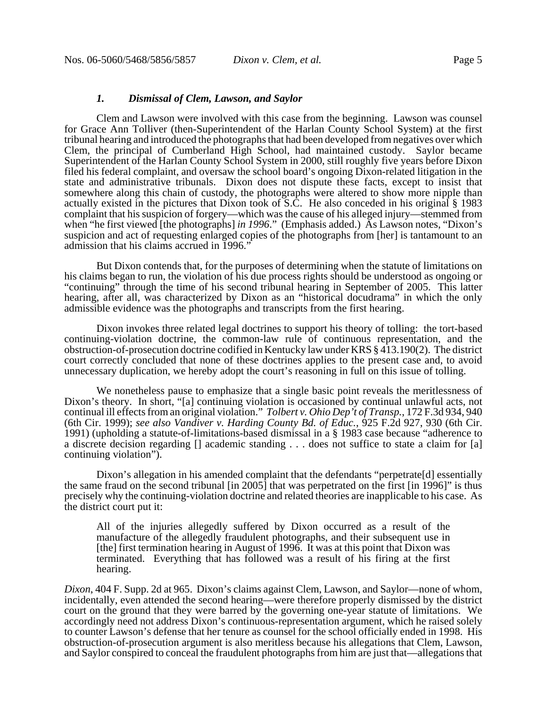### *1. Dismissal of Clem, Lawson, and Saylor*

Clem and Lawson were involved with this case from the beginning. Lawson was counsel for Grace Ann Tolliver (then-Superintendent of the Harlan County School System) at the first tribunal hearing and introduced the photographs that had been developed from negatives over which Clem, the principal of Cumberland High School, had maintained custody. Saylor became Superintendent of the Harlan County School System in 2000, still roughly five years before Dixon filed his federal complaint, and oversaw the school board's ongoing Dixon-related litigation in the state and administrative tribunals. Dixon does not dispute these facts, except to insist that somewhere along this chain of custody, the photographs were altered to show more nipple than actually existed in the pictures that Dixon took of S.C. He also conceded in his original § 1983 complaint that his suspicion of forgery—which was the cause of his alleged injury—stemmed from when "he first viewed [the photographs] *in 1996*." (Emphasis added.) As Lawson notes, "Dixon's suspicion and act of requesting enlarged copies of the photographs from [her] is tantamount to an admission that his claims accrued in 1996."

But Dixon contends that, for the purposes of determining when the statute of limitations on his claims began to run, the violation of his due process rights should be understood as ongoing or "continuing" through the time of his second tribunal hearing in September of 2005. This latter hearing, after all, was characterized by Dixon as an "historical docudrama" in which the only admissible evidence was the photographs and transcripts from the first hearing.

Dixon invokes three related legal doctrines to support his theory of tolling: the tort-based continuing-violation doctrine, the common-law rule of continuous representation, and the obstruction-of-prosecution doctrine codified in Kentucky law under KRS § 413.190(2). The district court correctly concluded that none of these doctrines applies to the present case and, to avoid unnecessary duplication, we hereby adopt the court's reasoning in full on this issue of tolling.

We nonetheless pause to emphasize that a single basic point reveals the meritlessness of Dixon's theory. In short, "[a] continuing violation is occasioned by continual unlawful acts, not continual ill effects from an original violation." *Tolbert v. Ohio Dep't of Transp.*, 172 F.3d 934, 940 (6th Cir. 1999); *see also Vandiver v. Harding County Bd. of Educ.*, 925 F.2d 927, 930 (6th Cir. 1991) (upholding a statute-of-limitations-based dismissal in a § 1983 case because "adherence to a discrete decision regarding [] academic standing . . . does not suffice to state a claim for [a] continuing violation").

Dixon's allegation in his amended complaint that the defendants "perpetrate [d] essentially the same fraud on the second tribunal [in 2005] that was perpetrated on the first [in 1996]" is thus precisely why the continuing-violation doctrine and related theories are inapplicable to his case. As the district court put it:

All of the injuries allegedly suffered by Dixon occurred as a result of the manufacture of the allegedly fraudulent photographs, and their subsequent use in [the] first termination hearing in August of 1996. It was at this point that Dixon was terminated. Everything that has followed was a result of his firing at the first hearing.

*Dixon*, 404 F. Supp. 2d at 965. Dixon's claims against Clem, Lawson, and Saylor—none of whom, incidentally, even attended the second hearing—were therefore properly dismissed by the district court on the ground that they were barred by the governing one-year statute of limitations. We accordingly need not address Dixon's continuous-representation argument, which he raised solely to counter Lawson's defense that her tenure as counsel for the school officially ended in 1998. His obstruction-of-prosecution argument is also meritless because his allegations that Clem, Lawson, and Saylor conspired to conceal the fraudulent photographs from him are just that—allegations that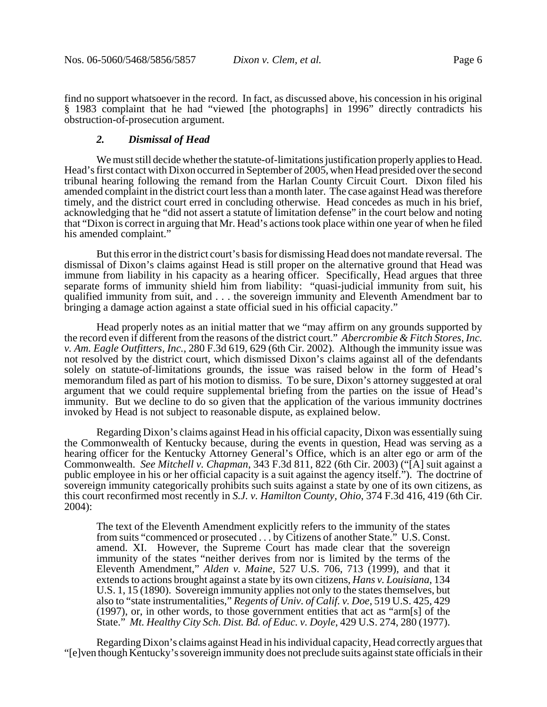find no support whatsoever in the record. In fact, as discussed above, his concession in his original § 1983 complaint that he had "viewed [the photographs] in 1996" directly contradicts his obstruction-of-prosecution argument.

### *2. Dismissal of Head*

We must still decide whether the statute-of-limitations justification properly applies to Head. Head's first contact with Dixon occurred in September of 2005, when Head presided over the second tribunal hearing following the remand from the Harlan County Circuit Court. Dixon filed his amended complaint in the district court less than a month later. The case against Head was therefore timely, and the district court erred in concluding otherwise. Head concedes as much in his brief, acknowledging that he "did not assert a statute of limitation defense" in the court below and noting that "Dixon is correct in arguing that Mr. Head's actions took place within one year of when he filed his amended complaint."

But this error in the district court's basis for dismissing Head does not mandate reversal. The dismissal of Dixon's claims against Head is still proper on the alternative ground that Head was immune from liability in his capacity as a hearing officer. Specifically, Head argues that three separate forms of immunity shield him from liability: "quasi-judicial immunity from suit, his qualified immunity from suit, and . . . the sovereign immunity and Eleventh Amendment bar to bringing a damage action against a state official sued in his official capacity."

Head properly notes as an initial matter that we "may affirm on any grounds supported by the record even if different from the reasons of the district court." *Abercrombie & Fitch Stores, Inc. v. Am. Eagle Outfitters, Inc.*, 280 F.3d 619, 629 (6th Cir. 2002). Although the immunity issue was not resolved by the district court, which dismissed Dixon's claims against all of the defendants solely on statute-of-limitations grounds, the issue was raised below in the form of Head's memorandum filed as part of his motion to dismiss. To be sure, Dixon's attorney suggested at oral argument that we could require supplemental briefing from the parties on the issue of Head's immunity. But we decline to do so given that the application of the various immunity doctrines invoked by Head is not subject to reasonable dispute, as explained below.

Regarding Dixon's claims against Head in his official capacity, Dixon was essentially suing the Commonwealth of Kentucky because, during the events in question, Head was serving as a hearing officer for the Kentucky Attorney General's Office, which is an alter ego or arm of the Commonwealth. *See Mitchell v. Chapman*, 343 F.3d 811, 822 (6th Cir. 2003) ("[A] suit against a public employee in his or her official capacity is a suit against the agency itself."). The doctrine of sovereign immunity categorically prohibits such suits against a state by one of its own citizens, as this court reconfirmed most recently in *S.J. v. Hamilton County, Ohio*, 374 F.3d 416, 419 (6th Cir. 2004):

The text of the Eleventh Amendment explicitly refers to the immunity of the states from suits "commenced or prosecuted . . . by Citizens of another State." U.S. Const. amend. XI. However, the Supreme Court has made clear that the sovereign immunity of the states "neither derives from nor is limited by the terms of the Eleventh Amendment," *Alden v. Maine*, 527 U.S. 706, 713 (1999), and that it extends to actions brought against a state by its own citizens, *Hans v. Louisiana*, 134 U.S. 1, 15 (1890). Sovereign immunity applies not only to the states themselves, but also to "state instrumentalities," *Regents of Univ. of Calif. v. Doe*, 519 U.S. 425, 429 (1997), or, in other words, to those government entities that act as "arm[s] of the State." *Mt. Healthy City Sch. Dist. Bd. of Educ. v. Doyle*, 429 U.S. 274, 280 (1977).

Regarding Dixon's claims against Head in his individual capacity, Head correctly argues that "[e]ven though Kentucky's sovereign immunity does not preclude suits against state officials in their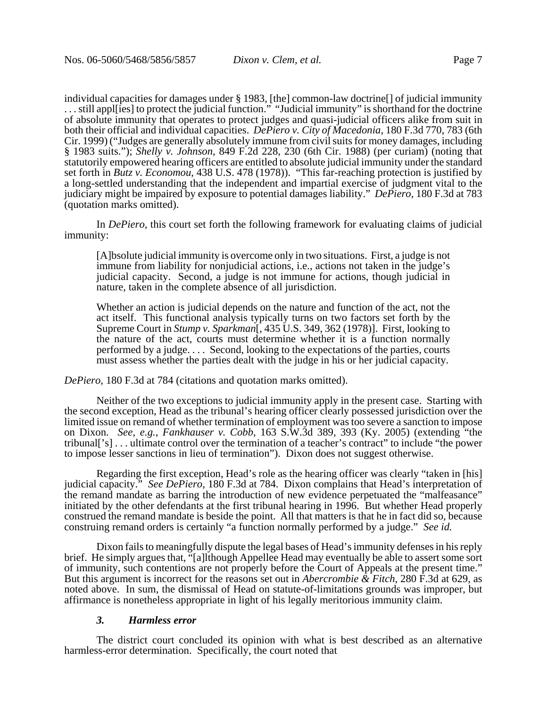individual capacities for damages under § 1983, [the] common-law doctrine[] of judicial immunity . . . still appl[ies] to protect the judicial function." "Judicial immunity" is shorthand for the doctrine of absolute immunity that operates to protect judges and quasi-judicial officers alike from suit in both their official and individual capacities. *DePiero v. City of Macedonia*, 180 F.3d 770, 783 (6th Cir. 1999) ("Judges are generally absolutely immune from civil suits for money damages, including § 1983 suits."); *Shelly v. Johnson*, 849 F.2d 228, 230 (6th Cir. 1988) (per curiam) (noting that statutorily empowered hearing officers are entitled to absolute judicial immunity under the standard set forth in *Butz v. Economou*, 438 U.S. 478 (1978)). "This far-reaching protection is justified by a long-settled understanding that the independent and impartial exercise of judgment vital to the judiciary might be impaired by exposure to potential damages liability." *DePiero*, 180 F.3d at 783 (quotation marks omitted).

In *DePiero*, this court set forth the following framework for evaluating claims of judicial immunity:

[A]bsolute judicial immunity is overcome only in two situations. First, a judge is not immune from liability for nonjudicial actions, i.e., actions not taken in the judge's judicial capacity. Second, a judge is not immune for actions, though judicial in nature, taken in the complete absence of all jurisdiction.

Whether an action is judicial depends on the nature and function of the act, not the act itself. This functional analysis typically turns on two factors set forth by the Supreme Court in *Stump v. Sparkman*[, 435 U.S. 349, 362 (1978)]. First, looking to the nature of the act, courts must determine whether it is a function normally performed by a judge. . . . Second, looking to the expectations of the parties, courts must assess whether the parties dealt with the judge in his or her judicial capacity.

*DePiero*, 180 F.3d at 784 (citations and quotation marks omitted).

Neither of the two exceptions to judicial immunity apply in the present case. Starting with the second exception, Head as the tribunal's hearing officer clearly possessed jurisdiction over the limited issue on remand of whether termination of employment was too severe a sanction to impose on Dixon. *See, e.g.*, *Fankhauser v. Cobb*, 163 S.W.3d 389, 393 (Ky. 2005) (extending "the tribunal['s] . . . ultimate control over the termination of a teacher's contract" to include "the power to impose lesser sanctions in lieu of termination"). Dixon does not suggest otherwise.

Regarding the first exception, Head's role as the hearing officer was clearly "taken in [his] judicial capacity." *See DePiero*, 180 F.3d at 784. Dixon complains that Head's interpretation of the remand mandate as barring the introduction of new evidence perpetuated the "malfeasance" initiated by the other defendants at the first tribunal hearing in 1996. But whether Head properly construed the remand mandate is beside the point. All that matters is that he in fact did so, because construing remand orders is certainly "a function normally performed by a judge." *See id.*

Dixon fails to meaningfully dispute the legal bases of Head's immunity defenses in his reply brief. He simply argues that, "[a]lthough Appellee Head may eventually be able to assert some sort of immunity, such contentions are not properly before the Court of Appeals at the present time." But this argument is incorrect for the reasons set out in *Abercrombie & Fitch*, 280 F.3d at 629, as noted above. In sum, the dismissal of Head on statute-of-limitations grounds was improper, but affirmance is nonetheless appropriate in light of his legally meritorious immunity claim.

### *3. Harmless error*

The district court concluded its opinion with what is best described as an alternative harmless-error determination. Specifically, the court noted that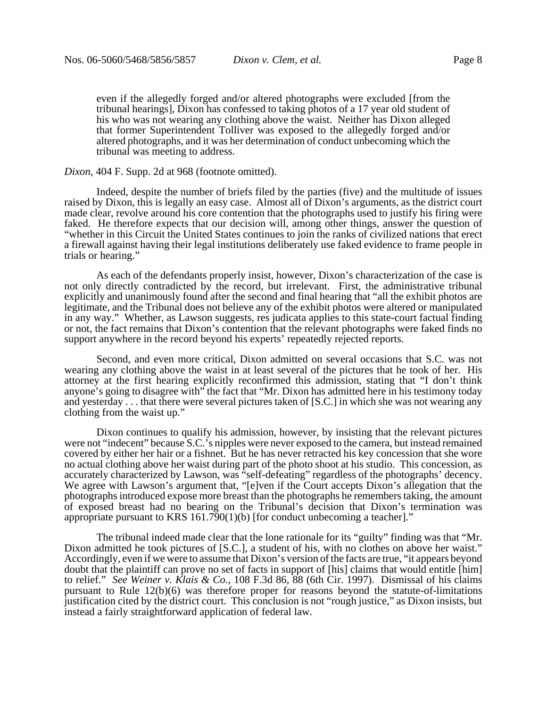even if the allegedly forged and/or altered photographs were excluded [from the tribunal hearings], Dixon has confessed to taking photos of a 17 year old student of his who was not wearing any clothing above the waist. Neither has Dixon alleged that former Superintendent Tolliver was exposed to the allegedly forged and/or altered photographs, and it was her determination of conduct unbecoming which the tribunal was meeting to address.

### *Dixon*, 404 F. Supp. 2d at 968 (footnote omitted).

Indeed, despite the number of briefs filed by the parties (five) and the multitude of issues raised by Dixon, this is legally an easy case. Almost all of Dixon's arguments, as the district court made clear, revolve around his core contention that the photographs used to justify his firing were faked. He therefore expects that our decision will, among other things, answer the question of "whether in this Circuit the United States continues to join the ranks of civilized nations that erect a firewall against having their legal institutions deliberately use faked evidence to frame people in trials or hearing."

As each of the defendants properly insist, however, Dixon's characterization of the case is not only directly contradicted by the record, but irrelevant. First, the administrative tribunal explicitly and unanimously found after the second and final hearing that "all the exhibit photos are legitimate, and the Tribunal does not believe any of the exhibit photos were altered or manipulated in any way." Whether, as Lawson suggests, res judicata applies to this state-court factual finding or not, the fact remains that Dixon's contention that the relevant photographs were faked finds no support anywhere in the record beyond his experts' repeatedly rejected reports.

Second, and even more critical, Dixon admitted on several occasions that S.C. was not wearing any clothing above the waist in at least several of the pictures that he took of her. His attorney at the first hearing explicitly reconfirmed this admission, stating that "I don't think anyone's going to disagree with" the fact that "Mr. Dixon has admitted here in his testimony today and yesterday . . . that there were several pictures taken of [S.C.] in which she was not wearing any clothing from the waist up."

Dixon continues to qualify his admission, however, by insisting that the relevant pictures were not "indecent" because S.C.'s nipples were never exposed to the camera, but instead remained covered by either her hair or a fishnet. But he has never retracted his key concession that she wore no actual clothing above her waist during part of the photo shoot at his studio. This concession, as accurately characterized by Lawson, was "self-defeating" regardless of the photographs' decency. We agree with Lawson's argument that, "[e]ven if the Court accepts Dixon's allegation that the photographs introduced expose more breast than the photographs he remembers taking, the amount of exposed breast had no bearing on the Tribunal's decision that Dixon's termination was appropriate pursuant to KRS 161.790(1)(b) [for conduct unbecoming a teacher]."

The tribunal indeed made clear that the lone rationale for its "guilty" finding was that "Mr. Dixon admitted he took pictures of [S.C.], a student of his, with no clothes on above her waist." Accordingly, even if we were to assume that Dixon's version of the facts are true, "it appears beyond doubt that the plaintiff can prove no set of facts in support of [his] claims that would entitle [him] to relief." *See Weiner v. Klais & Co.*, 108 F.3d 86, 88 (6th Cir. 1997). Dismissal of his claims pursuant to Rule 12(b)(6) was therefore proper for reasons beyond the statute-of-limitations justification cited by the district court. This conclusion is not "rough justice," as Dixon insists, but instead a fairly straightforward application of federal law.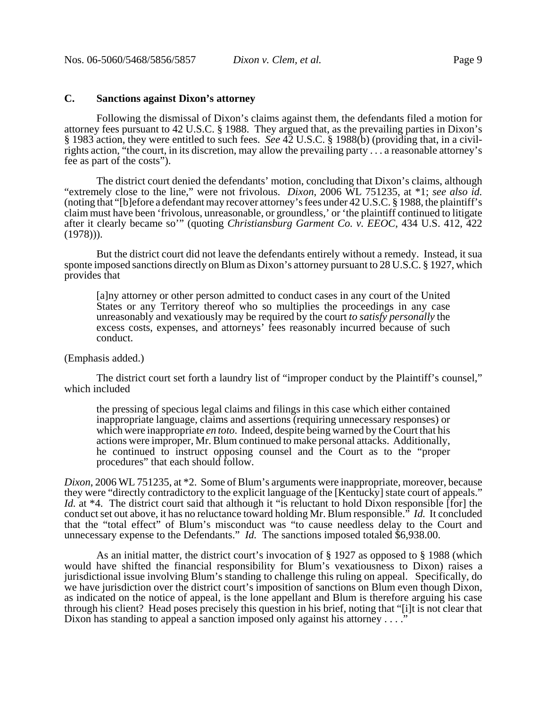# **C. Sanctions against Dixon's attorney**

Following the dismissal of Dixon's claims against them, the defendants filed a motion for attorney fees pursuant to 42 U.S.C. § 1988. They argued that, as the prevailing parties in Dixon's § 1983 action, they were entitled to such fees. *See* 42 U.S.C. § 1988(b) (providing that, in a civilrights action, "the court, in its discretion, may allow the prevailing party . . . a reasonable attorney's fee as part of the costs").

The district court denied the defendants' motion, concluding that Dixon's claims, although "extremely close to the line," were not frivolous. *Dixon*, 2006 WL 751235, at \*1; *see also id.* (noting that "[b]efore a defendant may recover attorney's fees under 42 U.S.C. § 1988, the plaintiff's claim must have been 'frivolous, unreasonable, or groundless,' or 'the plaintiff continued to litigate after it clearly became so'" (quoting *Christiansburg Garment Co. v. EEOC*, 434 U.S. 412, 422  $(1978))$ .

But the district court did not leave the defendants entirely without a remedy. Instead, it sua sponte imposed sanctions directly on Blum as Dixon's attorney pursuant to 28 U.S.C. § 1927, which provides that

[a]ny attorney or other person admitted to conduct cases in any court of the United States or any Territory thereof who so multiplies the proceedings in any case unreasonably and vexatiously may be required by the court *to satisfy personally* the excess costs, expenses, and attorneys' fees reasonably incurred because of such conduct.

### (Emphasis added.)

The district court set forth a laundry list of "improper conduct by the Plaintiff's counsel," which included

the pressing of specious legal claims and filings in this case which either contained inappropriate language, claims and assertions (requiring unnecessary responses) or which were inappropriate *en toto*. Indeed, despite being warned by the Court that his actions were improper, Mr. Blum continued to make personal attacks. Additionally, he continued to instruct opposing counsel and the Court as to the "proper procedures" that each should follow.

*Dixon*, 2006 WL 751235, at \*2. Some of Blum's arguments were inappropriate, moreover, because they were "directly contradictory to the explicit language of the [Kentucky] state court of appeals." *Id.* at \*4. The district court said that although it "is reluctant to hold Dixon responsible [for] the conduct set out above, it has no reluctance toward holding Mr. Blum responsible." *Id.* It concluded that the "total effect" of Blum's misconduct was "to cause needless delay to the Court and unnecessary expense to the Defendants." *Id.* The sanctions imposed totaled \$6,938.00.

As an initial matter, the district court's invocation of § 1927 as opposed to § 1988 (which would have shifted the financial responsibility for Blum's vexatiousness to Dixon) raises a jurisdictional issue involving Blum's standing to challenge this ruling on appeal. Specifically, do we have jurisdiction over the district court's imposition of sanctions on Blum even though Dixon, as indicated on the notice of appeal, is the lone appellant and Blum is therefore arguing his case through his client? Head poses precisely this question in his brief, noting that "[i]t is not clear that Dixon has standing to appeal a sanction imposed only against his attorney . . . ."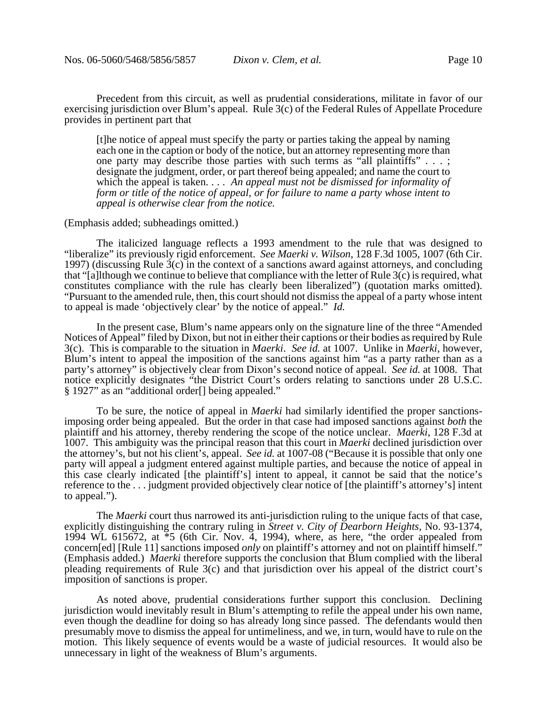Precedent from this circuit, as well as prudential considerations, militate in favor of our exercising jurisdiction over Blum's appeal. Rule 3(c) of the Federal Rules of Appellate Procedure provides in pertinent part that

[t]he notice of appeal must specify the party or parties taking the appeal by naming each one in the caption or body of the notice, but an attorney representing more than one party may describe those parties with such terms as "all plaintiffs" . . . ; designate the judgment, order, or part thereof being appealed; and name the court to which the appeal is taken. . . . *An appeal must not be dismissed for informality of form or title of the notice of appeal, or for failure to name a party whose intent to appeal is otherwise clear from the notice.*

#### (Emphasis added; subheadings omitted.)

The italicized language reflects a 1993 amendment to the rule that was designed to "liberalize" its previously rigid enforcement. *See Maerki v. Wilson*, 128 F.3d 1005, 1007 (6th Cir. 1997) (discussing Rule  $3(c)$  in the context of a sanctions award against attorneys, and concluding that "[a]lthough we continue to believe that compliance with the letter of Rule 3(c) is required, what constitutes compliance with the rule has clearly been liberalized") (quotation marks omitted). "Pursuant to the amended rule, then, this court should not dismiss the appeal of a party whose intent to appeal is made 'objectively clear' by the notice of appeal." *Id.*

In the present case, Blum's name appears only on the signature line of the three "Amended Notices of Appeal" filed by Dixon, but not in either their captions or their bodies as required by Rule 3(c). This is comparable to the situation in *Maerki*. *See id.* at 1007. Unlike in *Maerki*, however, Blum's intent to appeal the imposition of the sanctions against him "as a party rather than as a party's attorney" is objectively clear from Dixon's second notice of appeal. *See id.* at 1008. That notice explicitly designates "the District Court's orders relating to sanctions under 28 U.S.C. § 1927" as an "additional order[] being appealed."

To be sure, the notice of appeal in *Maerki* had similarly identified the proper sanctionsimposing order being appealed. But the order in that case had imposed sanctions against *both* the plaintiff and his attorney, thereby rendering the scope of the notice unclear. *Maerki*, 128 F.3d at 1007. This ambiguity was the principal reason that this court in *Maerki* declined jurisdiction over the attorney's, but not his client's, appeal. *See id.* at 1007-08 ("Because it is possible that only one party will appeal a judgment entered against multiple parties, and because the notice of appeal in this case clearly indicated [the plaintiff's] intent to appeal, it cannot be said that the notice's reference to the . . . judgment provided objectively clear notice of [the plaintiff's attorney's] intent to appeal.").

The *Maerki* court thus narrowed its anti-jurisdiction ruling to the unique facts of that case, explicitly distinguishing the contrary ruling in *Street v. City of Dearborn Heights*, No. 93-1374, 1994 WL 615672, at  $*5$  (6th Cir. Nov. 4, 1994), where, as here, "the order appealed from concern[ed] [Rule 11] sanctions imposed *only* on plaintiff's attorney and not on plaintiff himself." (Emphasis added.) *Maerki* therefore supports the conclusion that Blum complied with the liberal pleading requirements of Rule 3(c) and that jurisdiction over his appeal of the district court's imposition of sanctions is proper.

As noted above, prudential considerations further support this conclusion. Declining jurisdiction would inevitably result in Blum's attempting to refile the appeal under his own name, even though the deadline for doing so has already long since passed. The defendants would then presumably move to dismiss the appeal for untimeliness, and we, in turn, would have to rule on the motion. This likely sequence of events would be a waste of judicial resources. It would also be unnecessary in light of the weakness of Blum's arguments.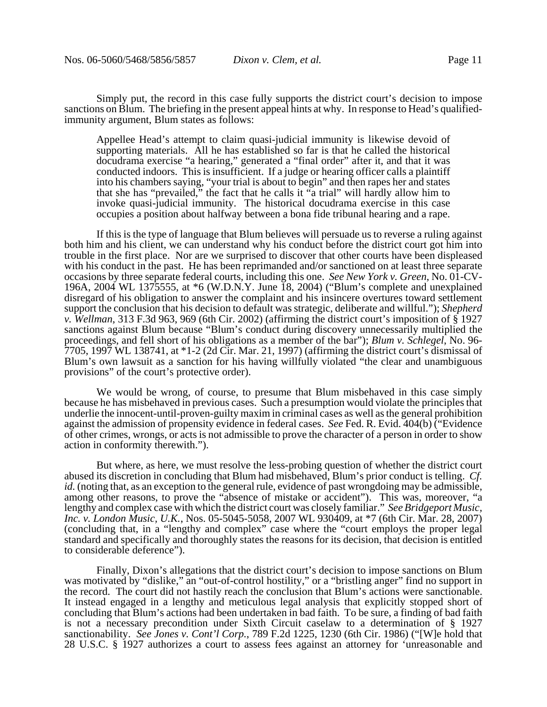Simply put, the record in this case fully supports the district court's decision to impose sanctions on Blum. The briefing in the present appeal hints at why. In response to Head's qualifiedimmunity argument, Blum states as follows:

Appellee Head's attempt to claim quasi-judicial immunity is likewise devoid of supporting materials. All he has established so far is that he called the historical docudrama exercise "a hearing," generated a "final order" after it, and that it was conducted indoors. This is insufficient. If a judge or hearing officer calls a plaintiff into his chambers saying, "your trial is about to begin" and then rapes her and states that she has "prevailed," the fact that he calls it "a trial" will hardly allow him to invoke quasi-judicial immunity. The historical docudrama exercise in this case occupies a position about halfway between a bona fide tribunal hearing and a rape.

If this is the type of language that Blum believes will persuade us to reverse a ruling against both him and his client, we can understand why his conduct before the district court got him into trouble in the first place. Nor are we surprised to discover that other courts have been displeased with his conduct in the past. He has been reprimanded and/or sanctioned on at least three separate occasions by three separate federal courts, including this one. *See New York v. Green*, No. 01-CV-196A, 2004 WL 1375555, at \*6 (W.D.N.Y. June 18, 2004) ("Blum's complete and unexplained disregard of his obligation to answer the complaint and his insincere overtures toward settlement support the conclusion that his decision to default was strategic, deliberate and willful."); *Shepherd v. Wellman*, 313 F.3d 963, 969 (6th Cir. 2002) (affirming the district court's imposition of § 1927 sanctions against Blum because "Blum's conduct during discovery unnecessarily multiplied the proceedings, and fell short of his obligations as a member of the bar"); *Blum v. Schlegel*, No. 96- 7705, 1997 WL 138741, at \*1-2 (2d Cir. Mar. 21, 1997) (affirming the district court's dismissal of Blum's own lawsuit as a sanction for his having willfully violated "the clear and unambiguous provisions" of the court's protective order).

We would be wrong, of course, to presume that Blum misbehaved in this case simply because he has misbehaved in previous cases. Such a presumption would violate the principles that underlie the innocent-until-proven-guilty maxim in criminal cases as well as the general prohibition against the admission of propensity evidence in federal cases. *See* Fed. R. Evid. 404(b) ("Evidence of other crimes, wrongs, or acts is not admissible to prove the character of a person in order to show action in conformity therewith.").

But where, as here, we must resolve the less-probing question of whether the district court abused its discretion in concluding that Blum had misbehaved, Blum's prior conduct is telling. *Cf. id.* (noting that, as an exception to the general rule, evidence of past wrongdoing may be admissible, among other reasons, to prove the "absence of mistake or accident"). This was, moreover, "a lengthy and complex case with which the district court was closely familiar." *See Bridgeport Music, Inc. v. London Music, U.K.*, Nos. 05-5045-5058, 2007 WL 930409, at \*7 (6th Cir. Mar. 28, 2007) (concluding that, in a "lengthy and complex" case where the "court employs the proper legal standard and specifically and thoroughly states the reasons for its decision, that decision is entitled to considerable deference").

Finally, Dixon's allegations that the district court's decision to impose sanctions on Blum was motivated by "dislike," an "out-of-control hostility," or a "bristling anger" find no support in the record. The court did not hastily reach the conclusion that Blum's actions were sanctionable. It instead engaged in a lengthy and meticulous legal analysis that explicitly stopped short of concluding that Blum's actions had been undertaken in bad faith. To be sure, a finding of bad faith is not a necessary precondition under Sixth Circuit caselaw to a determination of § 1927 sanctionability. *See Jones v. Cont'l Corp.*, 789 F.2d 1225, 1230 (6th Cir. 1986) ("[W]e hold that 28 U.S.C. § 1927 authorizes a court to assess fees against an attorney for 'unreasonable and